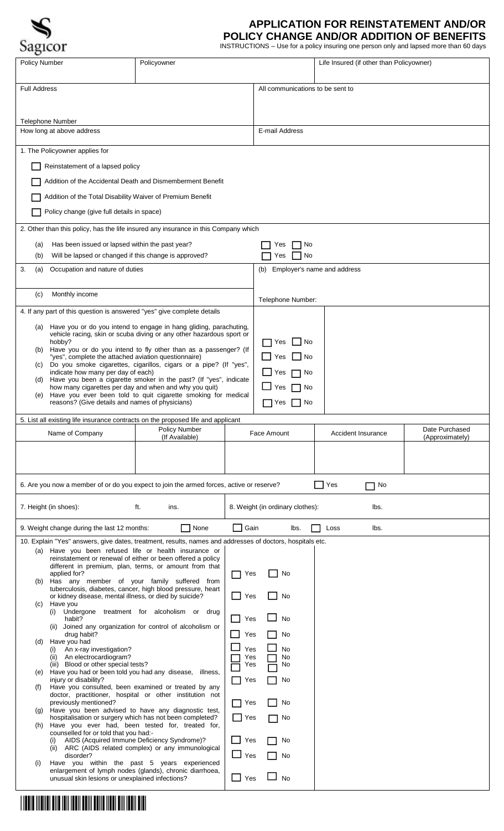

## **APPLICATION FOR REINSTATEMENT AND/OR**

**POLICY CHANGE AND/OR ADDITION OF BENEFITS**

| <b>Policy Number</b>                                                                                                        | Policyowner                                                                                                     |            |                                  | Life Insured (if other than Policyowner) |                 |  |  |
|-----------------------------------------------------------------------------------------------------------------------------|-----------------------------------------------------------------------------------------------------------------|------------|----------------------------------|------------------------------------------|-----------------|--|--|
|                                                                                                                             |                                                                                                                 |            |                                  |                                          |                 |  |  |
| <b>Full Address</b>                                                                                                         |                                                                                                                 |            | All communications to be sent to |                                          |                 |  |  |
|                                                                                                                             |                                                                                                                 |            |                                  |                                          |                 |  |  |
| <b>Telephone Number</b>                                                                                                     |                                                                                                                 |            |                                  |                                          |                 |  |  |
| How long at above address                                                                                                   |                                                                                                                 |            | E-mail Address                   |                                          |                 |  |  |
| 1. The Policyowner applies for                                                                                              |                                                                                                                 |            |                                  |                                          |                 |  |  |
| Reinstatement of a lapsed policy                                                                                            |                                                                                                                 |            |                                  |                                          |                 |  |  |
| Addition of the Accidental Death and Dismemberment Benefit                                                                  |                                                                                                                 |            |                                  |                                          |                 |  |  |
| Addition of the Total Disability Waiver of Premium Benefit                                                                  |                                                                                                                 |            |                                  |                                          |                 |  |  |
| Policy change (give full details in space)                                                                                  |                                                                                                                 |            |                                  |                                          |                 |  |  |
| 2. Other than this policy, has the life insured any insurance in this Company which                                         |                                                                                                                 |            |                                  |                                          |                 |  |  |
|                                                                                                                             |                                                                                                                 |            |                                  |                                          |                 |  |  |
| (b)                                                                                                                         | Has been issued or lapsed within the past year?<br>(a)<br>Will be lapsed or changed if this change is approved? |            |                                  | No<br>Yes<br>No<br>Yes                   |                 |  |  |
| 3.<br>Occupation and nature of duties<br>(a)                                                                                |                                                                                                                 |            |                                  | Employer's name and address<br>(b)       |                 |  |  |
|                                                                                                                             |                                                                                                                 |            |                                  |                                          |                 |  |  |
| Monthly income<br>(c)                                                                                                       |                                                                                                                 |            | Telephone Number:                |                                          |                 |  |  |
| 4. If any part of this question is answered "yes" give complete details                                                     |                                                                                                                 |            |                                  |                                          |                 |  |  |
| Have you or do you intend to engage in hang gliding, parachuting,<br>(a)                                                    |                                                                                                                 |            |                                  |                                          |                 |  |  |
| hobby?                                                                                                                      | vehicle racing, skin or scuba diving or any other hazardous sport or                                            |            | No<br>Yes                        |                                          |                 |  |  |
| (b) Have you or do you intend to fly other than as a passenger? (If<br>"yes", complete the attached aviation questionnaire) |                                                                                                                 |            | Yes<br>l No                      |                                          |                 |  |  |
| (c) Do you smoke cigarettes, cigarillos, cigars or a pipe? (If "yes",<br>indicate how many per day of each)                 |                                                                                                                 |            | No<br>Yes                        |                                          |                 |  |  |
| (d)<br>how many cigarettes per day and when and why you quit)                                                               | Have you been a cigarette smoker in the past? (If "yes", indicate                                               |            | No<br>Yes                        |                                          |                 |  |  |
| (e)<br>reasons? (Give details and names of physicians)                                                                      | Have you ever been told to quit cigarette smoking for medical                                                   |            | No.<br>Yes                       |                                          |                 |  |  |
|                                                                                                                             |                                                                                                                 |            |                                  |                                          |                 |  |  |
| 5. List all existing life insurance contracts on the proposed life and applicant                                            | Policy Number                                                                                                   |            | Face Amount                      | Accident Insurance                       | Date Purchased  |  |  |
| Name of Company                                                                                                             | (If Available)                                                                                                  |            |                                  |                                          | (Approximately) |  |  |
|                                                                                                                             |                                                                                                                 |            |                                  |                                          |                 |  |  |
|                                                                                                                             |                                                                                                                 |            |                                  |                                          |                 |  |  |
| 6. Are you now a member of or do you expect to join the armed forces, active or reserve?                                    |                                                                                                                 |            |                                  | Yes<br>No                                |                 |  |  |
|                                                                                                                             |                                                                                                                 |            |                                  |                                          |                 |  |  |
| 8. Weight (in ordinary clothes):<br>7. Height (in shoes):<br>ft.<br>lbs.<br>ins.                                            |                                                                                                                 |            |                                  |                                          |                 |  |  |
| $\Box$ Gain<br>None<br>9. Weight change during the last 12 months:<br>lbs.<br>lbs.<br>Loss                                  |                                                                                                                 |            |                                  |                                          |                 |  |  |
| 10. Explain "Yes" answers, give dates, treatment, results, names and addresses of doctors, hospitals etc.                   |                                                                                                                 |            |                                  |                                          |                 |  |  |
| (a) Have you been refused life or health insurance or<br>reinstatement or renewal of either or been offered a policy        |                                                                                                                 |            |                                  |                                          |                 |  |  |
| different in premium, plan, terms, or amount from that<br>applied for?                                                      |                                                                                                                 |            | No<br>Yes                        |                                          |                 |  |  |
| (b) Has any member of your family suffered from<br>tuberculosis, diabetes, cancer, high blood pressure, heart               |                                                                                                                 |            |                                  |                                          |                 |  |  |
| or kidney disease, mental illness, or died by suicide?<br>Yes<br>Have you<br>(c)                                            |                                                                                                                 |            | No                               |                                          |                 |  |  |
| (i) Undergone treatment for alcoholism or drug<br>habit?<br>Yes                                                             |                                                                                                                 | <b>No</b>  |                                  |                                          |                 |  |  |
| (ii) Joined any organization for control of alcoholism or<br>drug habit?<br>Yes                                             |                                                                                                                 | No         |                                  |                                          |                 |  |  |
| Have you had<br>(d)<br>An x-ray investigation?<br>(i)                                                                       |                                                                                                                 | Yes        | <b>No</b>                        |                                          |                 |  |  |
| (ii) An electrocardiogram?<br>(iii) Blood or other special tests?                                                           |                                                                                                                 | Yes<br>Yes | No<br>No                         |                                          |                 |  |  |
| (e) Have you had or been told you had any disease, illness,<br>injury or disability?<br>Yes                                 |                                                                                                                 | No         |                                  |                                          |                 |  |  |
| Have you consulted, been examined or treated by any<br>(f)<br>doctor, practitioner, hospital or other institution not       |                                                                                                                 |            |                                  |                                          |                 |  |  |
| previously mentioned?<br>(g) Have you been advised to have any diagnostic test,                                             |                                                                                                                 | Yes        | No                               |                                          |                 |  |  |
| hospitalisation or surgery which has not been completed?<br>Have you ever had, been tested for, treated for,                |                                                                                                                 | Yes        | No                               |                                          |                 |  |  |
| (h)<br>counselled for or told that you had:-                                                                                |                                                                                                                 | Yes        | No                               |                                          |                 |  |  |
| AIDS (Acquired Immune Deficiency Syndrome)?<br>(i)<br>(ii) ARC (AIDS related complex) or any immunological<br>disorder?     |                                                                                                                 | $\Box$ Yes |                                  |                                          |                 |  |  |
| Have you within the past 5 years experienced<br>(i)                                                                         |                                                                                                                 |            | No                               |                                          |                 |  |  |
| enlargement of lymph nodes (glands), chronic diarrhoea,<br>unusual skin lesions or unexplained infections?                  |                                                                                                                 | Yes        | <b>No</b>                        |                                          |                 |  |  |
|                                                                                                                             |                                                                                                                 |            |                                  |                                          |                 |  |  |
|                                                                                                                             |                                                                                                                 |            |                                  |                                          |                 |  |  |